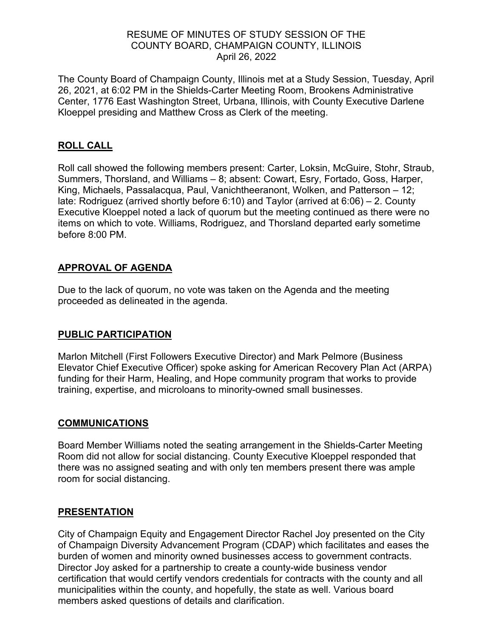### RESUME OF MINUTES OF STUDY SESSION OF THE COUNTY BOARD, CHAMPAIGN COUNTY, ILLINOIS April 26, 2022

The County Board of Champaign County, Illinois met at a Study Session, Tuesday, April 26, 2021, at 6:02 PM in the Shields-Carter Meeting Room, Brookens Administrative Center, 1776 East Washington Street, Urbana, Illinois, with County Executive Darlene Kloeppel presiding and Matthew Cross as Clerk of the meeting.

## **ROLL CALL**

Roll call showed the following members present: Carter, Loksin, McGuire, Stohr, Straub, Summers, Thorsland, and Williams – 8; absent: Cowart, Esry, Fortado, Goss, Harper, King, Michaels, Passalacqua, Paul, Vanichtheeranont, Wolken, and Patterson – 12; late: Rodriguez (arrived shortly before 6:10) and Taylor (arrived at 6:06) – 2. County Executive Kloeppel noted a lack of quorum but the meeting continued as there were no items on which to vote. Williams, Rodriguez, and Thorsland departed early sometime before 8:00 PM.

# **APPROVAL OF AGENDA**

Due to the lack of quorum, no vote was taken on the Agenda and the meeting proceeded as delineated in the agenda.

## **PUBLIC PARTICIPATION**

Marlon Mitchell (First Followers Executive Director) and Mark Pelmore (Business Elevator Chief Executive Officer) spoke asking for American Recovery Plan Act (ARPA) funding for their Harm, Healing, and Hope community program that works to provide training, expertise, and microloans to minority-owned small businesses.

#### **COMMUNICATIONS**

Board Member Williams noted the seating arrangement in the Shields-Carter Meeting Room did not allow for social distancing. County Executive Kloeppel responded that there was no assigned seating and with only ten members present there was ample room for social distancing.

## **PRESENTATION**

City of Champaign Equity and Engagement Director Rachel Joy presented on the City of Champaign Diversity Advancement Program (CDAP) which facilitates and eases the burden of women and minority owned businesses access to government contracts. Director Joy asked for a partnership to create a county-wide business vendor certification that would certify vendors credentials for contracts with the county and all municipalities within the county, and hopefully, the state as well. Various board members asked questions of details and clarification.